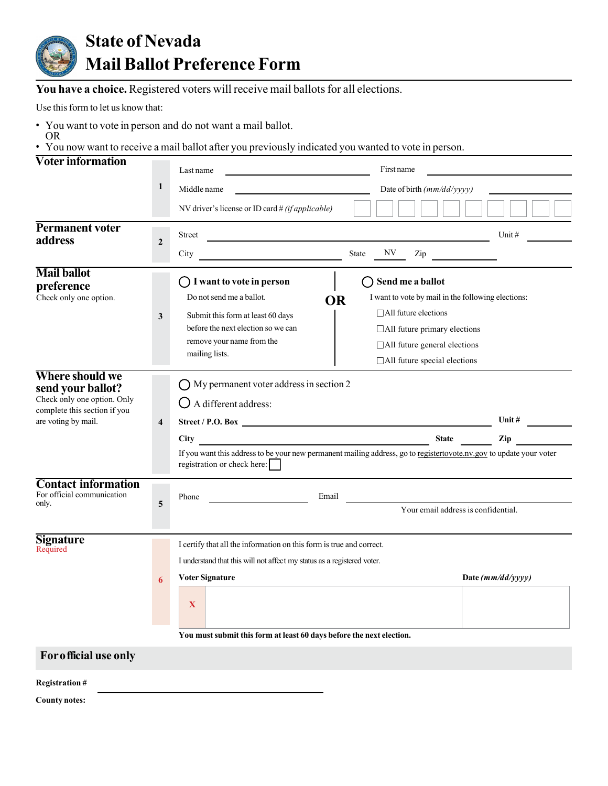

**You have a choice.** Registered voters will receive mail ballots for all elections.

Use this form to let us know that:

- You want to vote in person and do not want a mail ballot.
- OR • You now want to receive a mail ballot after you previously indicated you wanted to vote in person.

| <b>Voter information</b>                                                         |                  | Last name                                                                                                                                          | First name                                         |          |
|----------------------------------------------------------------------------------|------------------|----------------------------------------------------------------------------------------------------------------------------------------------------|----------------------------------------------------|----------|
|                                                                                  | $\mathbf{1}$     | Middle name                                                                                                                                        | Date of birth (mm/dd/yyyy)                         |          |
|                                                                                  |                  | NV driver's license or ID card $\#(if applicable)$                                                                                                 |                                                    |          |
| <b>Permanent voter</b><br>address                                                | $\boldsymbol{2}$ | Street                                                                                                                                             |                                                    | Unit $#$ |
|                                                                                  |                  | City                                                                                                                                               | $\ensuremath{\text{NV}}$<br>State<br>Zip           |          |
| <b>Mail ballot</b><br>preference                                                 |                  | $\bigcap$ I want to vote in person                                                                                                                 | Send me a ballot                                   |          |
| Check only one option.                                                           |                  | Do not send me a ballot.<br>OR                                                                                                                     | I want to vote by mail in the following elections: |          |
|                                                                                  | 3                | Submit this form at least 60 days                                                                                                                  | □ All future elections                             |          |
|                                                                                  |                  | before the next election so we can<br>remove your name from the                                                                                    | $\Box$ All future primary elections                |          |
|                                                                                  |                  | mailing lists.                                                                                                                                     | □ All future general elections                     |          |
| Where should we                                                                  |                  |                                                                                                                                                    | $\Box$ All future special elections                |          |
| send your ballot?<br>Check only one option. Only<br>complete this section if you |                  | $\bigcirc$ My permanent voter address in section 2<br>$\bigcirc$ A different address:                                                              |                                                    |          |
| are voting by mail.                                                              | 4                |                                                                                                                                                    |                                                    | Unit $#$ |
|                                                                                  |                  | <u> 1980 - Johann Barbara, martxa eta politikaria (h. 1908).</u><br>City                                                                           | <b>State</b>                                       | Zip      |
|                                                                                  |                  | If you want this address to be your new permanent mailing address, go to registertovote.nv.gov to update your voter<br>registration or check here: |                                                    |          |
| <b>Contact information</b>                                                       |                  |                                                                                                                                                    |                                                    |          |
| For official communication<br>only.                                              | 5                | Email<br>Phone                                                                                                                                     | Your email address is confidential.                |          |
|                                                                                  |                  |                                                                                                                                                    |                                                    |          |
| Signature<br>Required                                                            |                  | I certify that all the information on this form is true and correct.                                                                               |                                                    |          |
|                                                                                  |                  | I understand that this will not affect my status as a registered voter.                                                                            |                                                    |          |
|                                                                                  | 6                | <b>Voter Signature</b>                                                                                                                             | Date $(mm/dd/yyyy)$                                |          |
|                                                                                  |                  | $\mathbf X$                                                                                                                                        |                                                    |          |
|                                                                                  |                  | You must submit this form at least 60 days before the next election.                                                                               |                                                    |          |
| For official use only                                                            |                  |                                                                                                                                                    |                                                    |          |
| <b>Registration#</b>                                                             |                  |                                                                                                                                                    |                                                    |          |

**County notes:**